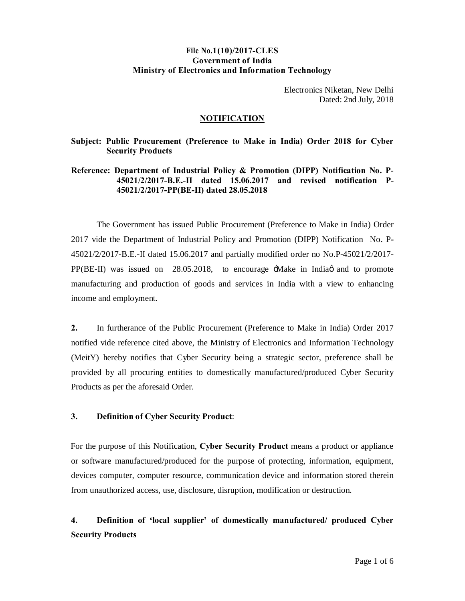# **File No.1(10)/2017-CLES Government of India Ministry of Electronics and Information Technology**

Electronics Niketan, New Delhi Dated: 2nd July, 2018

## **NOTIFICATION**

## **Subject: Public Procurement (Preference to Make in India) Order 2018 for Cyber Security Products**

# **Reference: Department of Industrial Policy & Promotion (DIPP) Notification No. P-45021/2/2017-B.E.-II dated 15.06.2017 and revised notification P-45021/2/2017-PP(BE-II) dated 28.05.2018**

The Government has issued Public Procurement (Preference to Make in India) Order 2017 vide the Department of Industrial Policy and Promotion (DIPP) Notification No. P**-**45021/2/2017-B.E.-II dated 15.06.2017 and partially modified order no No.P-45021/2/2017-  $PP(BE-II)$  was issued on 28.05.2018, to encourage  $\pm$ Make in India and to promote manufacturing and production of goods and services in India with a view to enhancing income and employment.

**2.** In furtherance of the Public Procurement (Preference to Make in India) Order 2017 notified vide reference cited above, the Ministry of Electronics and Information Technology (MeitY) hereby notifies that Cyber Security being a strategic sector, preference shall be provided by all procuring entities to domestically manufactured/produced Cyber Security Products as per the aforesaid Order.

## **3. Definition of Cyber Security Product**:

For the purpose of this Notification, **Cyber Security Product** means a product or appliance or software manufactured/produced for the purpose of protecting, information, equipment, devices computer, computer resource, communication device and information stored therein from unauthorized access, use, disclosure, disruption, modification or destruction.

# **4. Definition of 'local supplier' of domestically manufactured/ produced Cyber Security Products**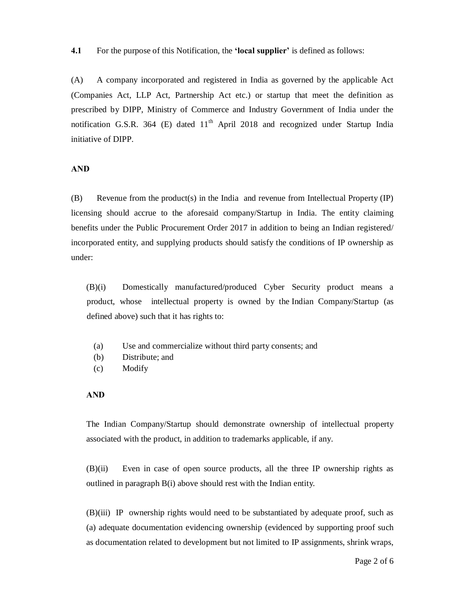**4.1** For the purpose of this Notification, the **'local supplier'** is defined as follows:

(A) A company incorporated and registered in India as governed by the applicable Act (Companies Act, LLP Act, Partnership Act etc.) or startup that meet the definition as prescribed by DIPP, Ministry of Commerce and Industry Government of India under the notification G.S.R. 364 (E) dated  $11<sup>th</sup>$  April 2018 and recognized under Startup India initiative of DIPP.

#### **AND**

(B) Revenue from the product(s) in the India and revenue from Intellectual Property (IP) licensing should accrue to the aforesaid company/Startup in India. The entity claiming benefits under the Public Procurement Order 2017 in addition to being an Indian registered/ incorporated entity, and supplying products should satisfy the conditions of IP ownership as under:

(B)(i) Domestically manufactured/produced Cyber Security product means a product, whose intellectual property is owned by the Indian Company/Startup (as defined above) such that it has rights to:

- (a) Use and commercialize without third party consents; and
- (b) Distribute; and
- (c) Modify

#### **AND**

The Indian Company/Startup should demonstrate ownership of intellectual property associated with the product, in addition to trademarks applicable, if any.

(B)(ii) Even in case of open source products, all the three IP ownership rights as outlined in paragraph B(i) above should rest with the Indian entity.

(B)(iii) IP ownership rights would need to be substantiated by adequate proof, such as (a) adequate documentation evidencing ownership (evidenced by supporting proof such as documentation related to development but not limited to IP assignments, shrink wraps,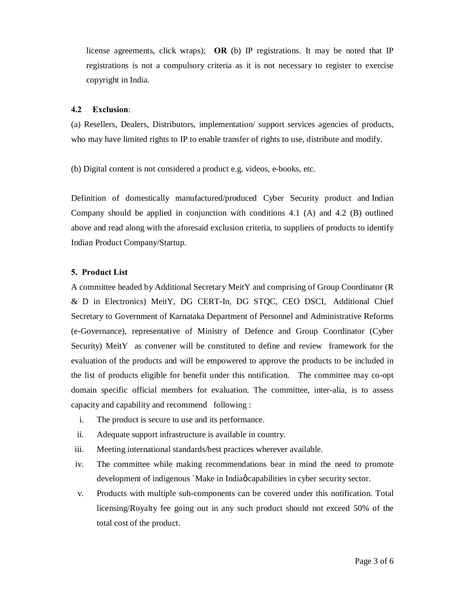license agreements, click wraps); **OR** (b) IP registrations. It may be noted that IP registrations is not a compulsory criteria as it is not necessary to register to exercise copyright in India.

#### **4.2 Exclusion**:

(a) Resellers, Dealers, Distributors, implementation/ support services agencies of products, who may have limited rights to IP to enable transfer of rights to use, distribute and modify.

(b) Digital content is not considered a product e.g. videos, e-books, etc.

Definition of domestically manufactured/produced Cyber Security product and Indian Company should be applied in conjunction with conditions 4.1 (A) and 4.2 (B) outlined above and read along with the aforesaid exclusion criteria, to suppliers of products to identify Indian Product Company/Startup.

## **5. Product List**

A committee headed by Additional Secretary MeitY and comprising of Group Coordinator (R & D in Electronics) MeitY, DG CERT-In, DG STQC, CEO DSCI, Additional Chief Secretary to Government of Karnataka Department of Personnel and Administrative Reforms (e-Governance), representative of Ministry of Defence and Group Coordinator (Cyber Security) MeitY as convener will be constituted to define and review framework for the evaluation of the products and will be empowered to approve the products to be included in the list of products eligible for benefit under this notification. The committee may co-opt domain specific official members for evaluation. The committee, inter-alia, is to assess capacity and capability and recommend following :

- i. The product is secure to use and its performance.
- ii. Adequate support infrastructure is available in country.
- iii. Meeting international standards/best practices wherever available.
- iv. The committee while making recommendations bear in mind the need to promote development of indigenous `Make in India $\alpha$  capabilities in cyber security sector.
- v. Products with multiple sub-components can be covered under this notification. Total licensing/Royalty fee going out in any such product should not exceed 50% of the total cost of the product.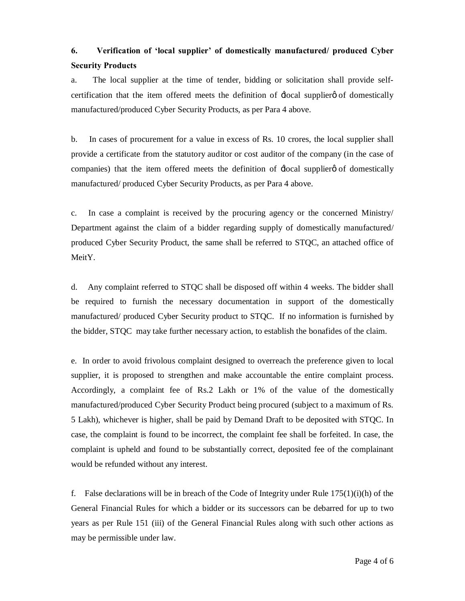# **6. Verification of 'local supplier' of domestically manufactured/ produced Cyber Security Products**

a. The local supplier at the time of tender, bidding or solicitation shall provide selfcertification that the item offered meets the definition of  $\exists$ ocal supplier  $\phi$  of domestically manufactured/produced Cyber Security Products, as per Para 4 above.

b. In cases of procurement for a value in excess of Rs. 10 crores, the local supplier shall provide a certificate from the statutory auditor or cost auditor of the company (in the case of companies) that the item offered meets the definition of  $\exists$ ocal supplier  $\emptyset$  of domestically manufactured/ produced Cyber Security Products, as per Para 4 above.

c. In case a complaint is received by the procuring agency or the concerned Ministry/ Department against the claim of a bidder regarding supply of domestically manufactured/ produced Cyber Security Product, the same shall be referred to STQC, an attached office of MeitY.

d. Any complaint referred to STQC shall be disposed off within 4 weeks. The bidder shall be required to furnish the necessary documentation in support of the domestically manufactured/ produced Cyber Security product to STQC. If no information is furnished by the bidder, STQC may take further necessary action, to establish the bonafides of the claim.

e. In order to avoid frivolous complaint designed to overreach the preference given to local supplier, it is proposed to strengthen and make accountable the entire complaint process. Accordingly, a complaint fee of Rs.2 Lakh or 1% of the value of the domestically manufactured/produced Cyber Security Product being procured (subject to a maximum of Rs. 5 Lakh), whichever is higher, shall be paid by Demand Draft to be deposited with STQC. In case, the complaint is found to be incorrect, the complaint fee shall be forfeited. In case, the complaint is upheld and found to be substantially correct, deposited fee of the complainant would be refunded without any interest.

f. False declarations will be in breach of the Code of Integrity under Rule  $175(1)(i)$ (h) of the General Financial Rules for which a bidder or its successors can be debarred for up to two years as per Rule 151 (iii) of the General Financial Rules along with such other actions as may be permissible under law.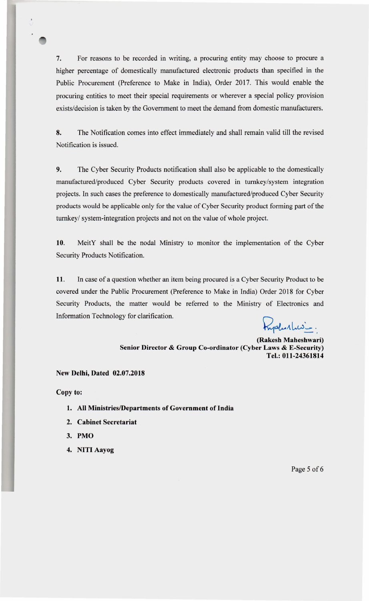7. For reasons to be recorded in writing, a procuring entity may choose to procure a higher percentage of domestically manufactured electronic products than specified in the Public Procurement (Preference to Make in India), Order 2017. This would enable the procuring entities to meet their special requirements or wherever a special policy provision exists/decision is taken by the Government to meet the demand from domestic manufacturers.

8. The Notification comes into effect immediately and shall remain valid till the revised Notification is issued.

9. The Cyber Security Products notification shall also be applicable to the domestically manufactured/produced Cyber Security products covered in turnkey/system integration projects. In such cases the preference to domestically manufactured/produced Cyber Security products would be applicable only for the value of Cyber Security product forming part of the turnkey/ system-integration projects and not on the value of whole project.

10. MeitY shall be the nodal Ministry to monitor the implementation of the Cyber Security Products Notification.

11. In case of a question whether an item being procured is a Cyber Security Product to be covered under the Public Procurement (Preference to Make in India) Order 2018 for Cyber Security Products, the matter would be referred to the Ministry of Electronics and Information Technology for clarification.

yalustris.

(Rakesh Maheshwari) Senior Director & Group Co-ordinator (Cyber Laws & E-Security) Tel.: 011-24361814

# New Delhi, Dated 02.07.2018

Copy to:

- 1. All Ministries/Departments of Government of India
- 2. Cabinet Secretariat
- 3. PMO
- 4. NITI Aayog

Page 5 of 6